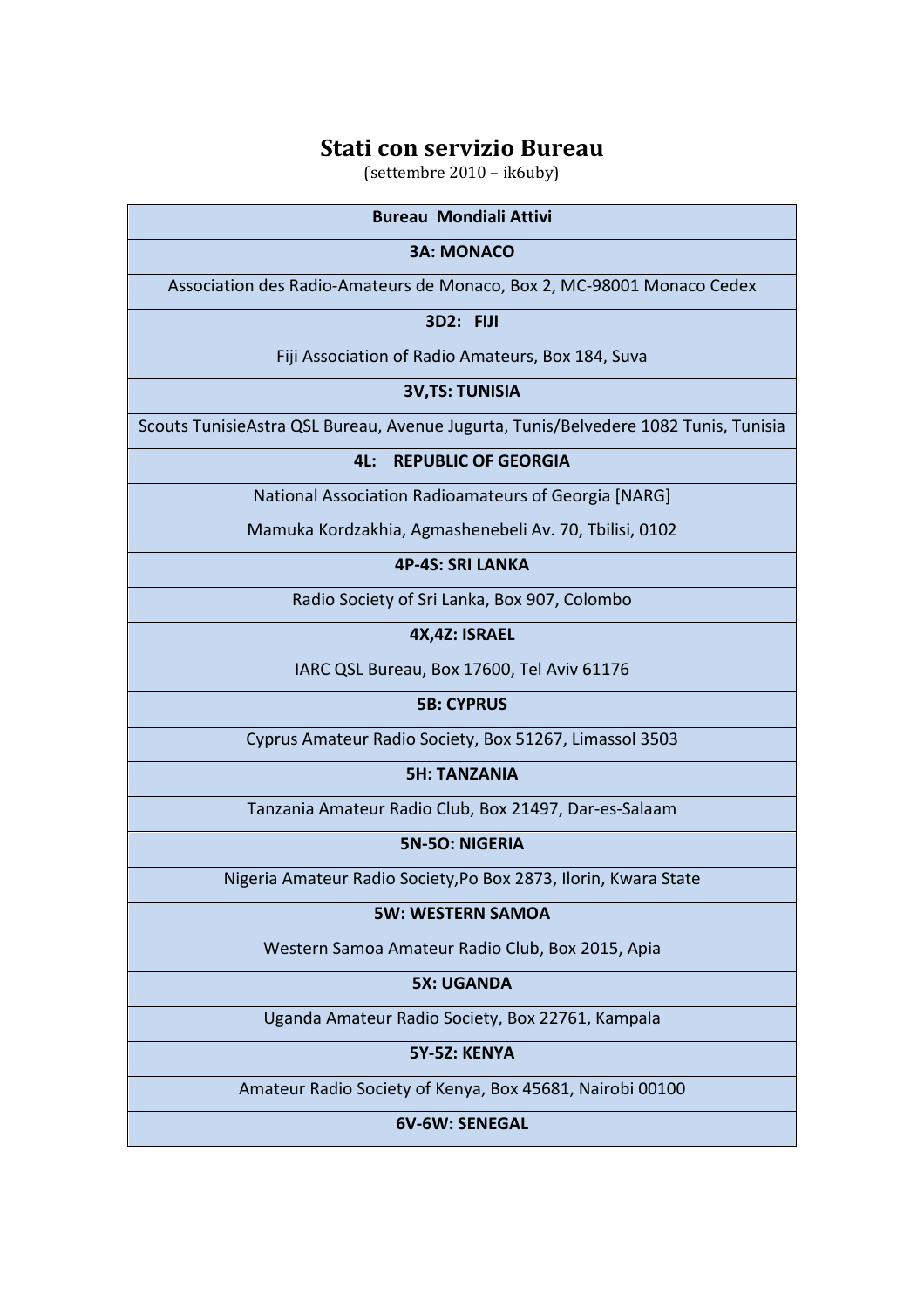(settembre 2010 – ik6uby)

| <b>Bureau Mondiali Attivi</b>                                                       |
|-------------------------------------------------------------------------------------|
| <b>3A: MONACO</b>                                                                   |
| Association des Radio-Amateurs de Monaco, Box 2, MC-98001 Monaco Cedex              |
| <b>3D2: FIJI</b>                                                                    |
| Fiji Association of Radio Amateurs, Box 184, Suva                                   |
| <b>3V,TS: TUNISIA</b>                                                               |
| Scouts TunisieAstra QSL Bureau, Avenue Jugurta, Tunis/Belvedere 1082 Tunis, Tunisia |
| <b>REPUBLIC OF GEORGIA</b><br>4L:                                                   |
| National Association Radioamateurs of Georgia [NARG]                                |
| Mamuka Kordzakhia, Agmashenebeli Av. 70, Tbilisi, 0102                              |
| <b>4P-4S: SRI LANKA</b>                                                             |
| Radio Society of Sri Lanka, Box 907, Colombo                                        |
| 4X,4Z: ISRAEL                                                                       |
| IARC QSL Bureau, Box 17600, Tel Aviv 61176                                          |
| <b>5B: CYPRUS</b>                                                                   |
| Cyprus Amateur Radio Society, Box 51267, Limassol 3503                              |
| <b>5H: TANZANIA</b>                                                                 |
| Tanzania Amateur Radio Club, Box 21497, Dar-es-Salaam                               |
| <b>5N-5O: NIGERIA</b>                                                               |
| Nigeria Amateur Radio Society, Po Box 2873, Ilorin, Kwara State                     |
| <b>5W: WESTERN SAMOA</b>                                                            |
| Western Samoa Amateur Radio Club, Box 2015, Apia                                    |
| <b>5X: UGANDA</b>                                                                   |
| Uganda Amateur Radio Society, Box 22761, Kampala                                    |
| 5Y-5Z: KENYA                                                                        |

Amateur Radio Society of Kenya, Box 45681, Nairobi 00100

**6V-6W: SENEGAL**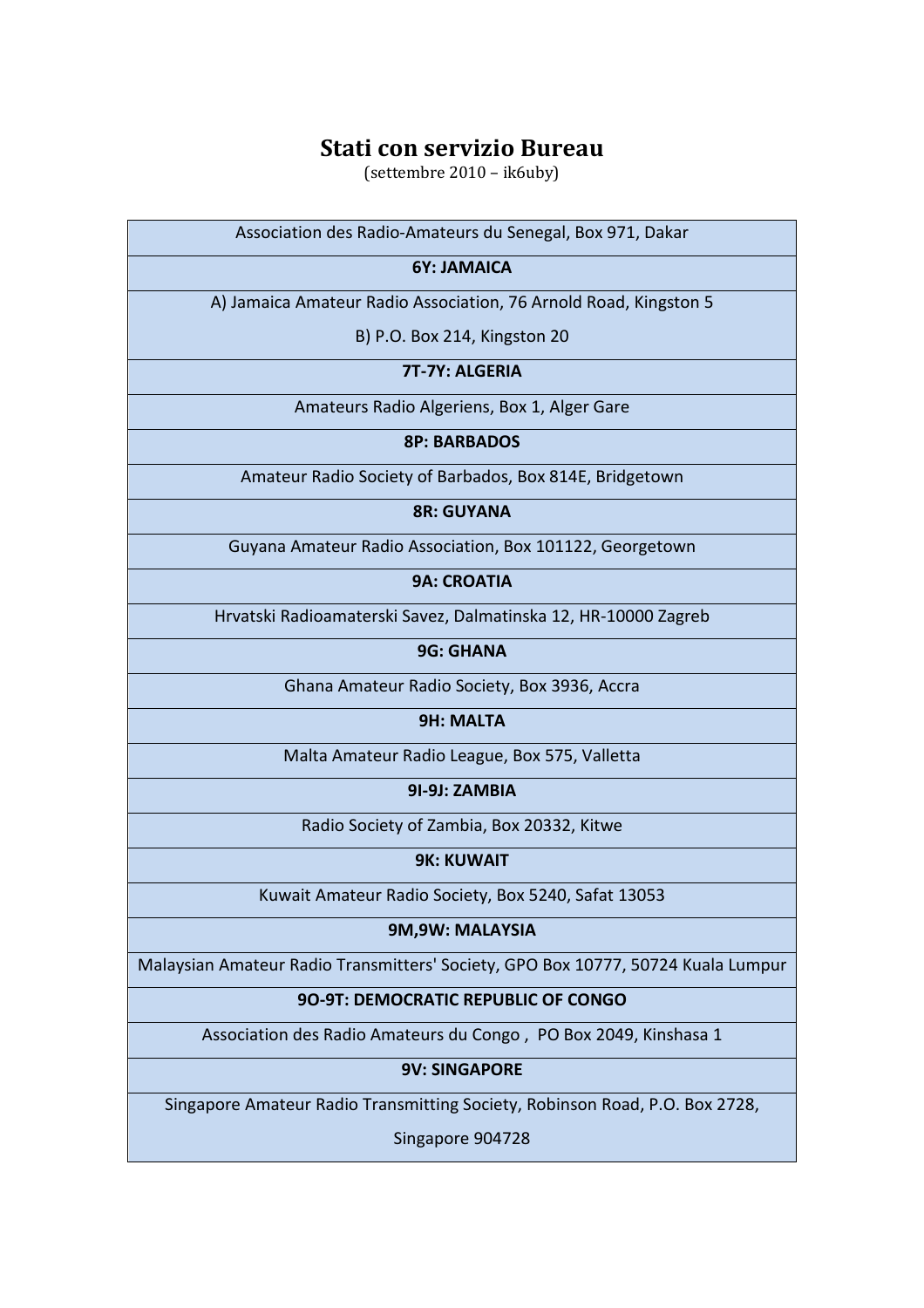(settembre 2010 – ik6uby)

| Association des Radio-Amateurs du Senegal, Box 971, Dakar                        |
|----------------------------------------------------------------------------------|
| 6Y: JAMAICA                                                                      |
| A) Jamaica Amateur Radio Association, 76 Arnold Road, Kingston 5                 |
| B) P.O. Box 214, Kingston 20                                                     |
| 7T-7Y: ALGERIA                                                                   |
| Amateurs Radio Algeriens, Box 1, Alger Gare                                      |
| <b>8P: BARBADOS</b>                                                              |
| Amateur Radio Society of Barbados, Box 814E, Bridgetown                          |
| <b>8R: GUYANA</b>                                                                |
| Guyana Amateur Radio Association, Box 101122, Georgetown                         |
| <b>9A: CROATIA</b>                                                               |
| Hrvatski Radioamaterski Savez, Dalmatinska 12, HR-10000 Zagreb                   |
| <b>9G: GHANA</b>                                                                 |
| Ghana Amateur Radio Society, Box 3936, Accra                                     |
| <b>9H: MALTA</b>                                                                 |
| Malta Amateur Radio League, Box 575, Valletta                                    |
| 91-9J: ZAMBIA                                                                    |
| Radio Society of Zambia, Box 20332, Kitwe                                        |
| <b>9K: KUWAIT</b>                                                                |
| Kuwait Amateur Radio Society, Box 5240, Safat 13053                              |
| 9M,9W: MALAYSIA                                                                  |
| Malaysian Amateur Radio Transmitters' Society, GPO Box 10777, 50724 Kuala Lumpur |
| 90-9T: DEMOCRATIC REPUBLIC OF CONGO                                              |
| Association des Radio Amateurs du Congo, PO Box 2049, Kinshasa 1                 |
| <b>9V: SINGAPORE</b>                                                             |
| Singapore Amateur Radio Transmitting Society, Robinson Road, P.O. Box 2728,      |

Singapore 904728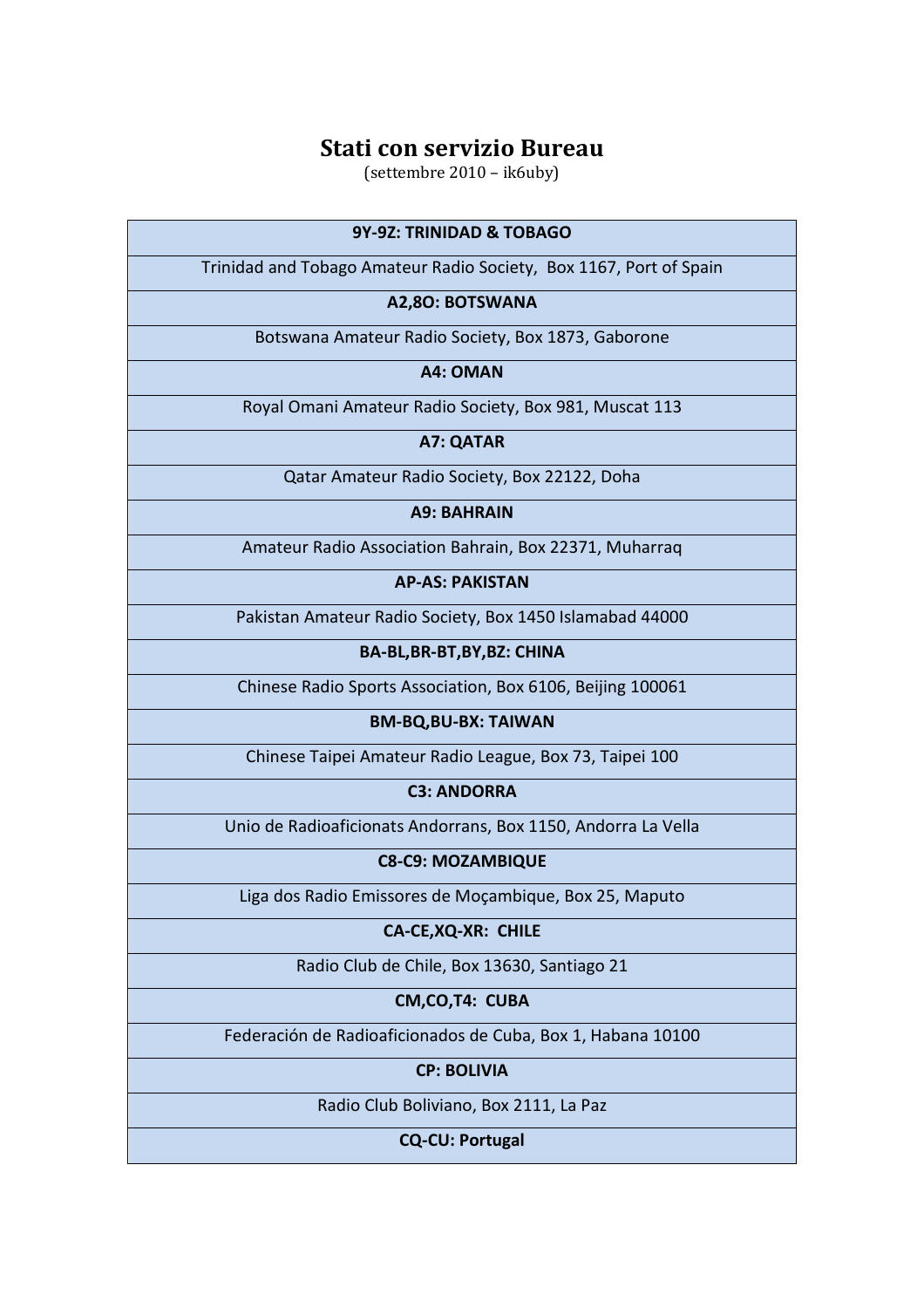(settembre 2010 – ik6uby)

| 9Y-9Z: TRINIDAD & TOBAGO                                           |
|--------------------------------------------------------------------|
| Trinidad and Tobago Amateur Radio Society, Box 1167, Port of Spain |
| A2,80: BOTSWANA                                                    |
| Botswana Amateur Radio Society, Box 1873, Gaborone                 |
| A4: OMAN                                                           |
| Royal Omani Amateur Radio Society, Box 981, Muscat 113             |
| A7: QATAR                                                          |
| Qatar Amateur Radio Society, Box 22122, Doha                       |
| <b>A9: BAHRAIN</b>                                                 |
| Amateur Radio Association Bahrain, Box 22371, Muharraq             |
| <b>AP-AS: PAKISTAN</b>                                             |
| Pakistan Amateur Radio Society, Box 1450 Islamabad 44000           |
| BA-BL, BR-BT, BY, BZ: CHINA                                        |
| Chinese Radio Sports Association, Box 6106, Beijing 100061         |
| <b>BM-BQ, BU-BX: TAIWAN</b>                                        |
| Chinese Taipei Amateur Radio League, Box 73, Taipei 100            |
| <b>C3: ANDORRA</b>                                                 |
| Unio de Radioaficionats Andorrans, Box 1150, Andorra La Vella      |
| <b>C8-C9: MOZAMBIQUE</b>                                           |
| Liga dos Radio Emissores de Moçambique, Box 25, Maputo             |
| CA-CE, XQ-XR: CHILE                                                |
| Radio Club de Chile, Box 13630, Santiago 21                        |
| CM, CO, T4: CUBA                                                   |
| Federación de Radioaficionados de Cuba, Box 1, Habana 10100        |
| <b>CP: BOLIVIA</b>                                                 |
| Radio Club Boliviano, Box 2111, La Paz                             |
| <b>CQ-CU: Portugal</b>                                             |
|                                                                    |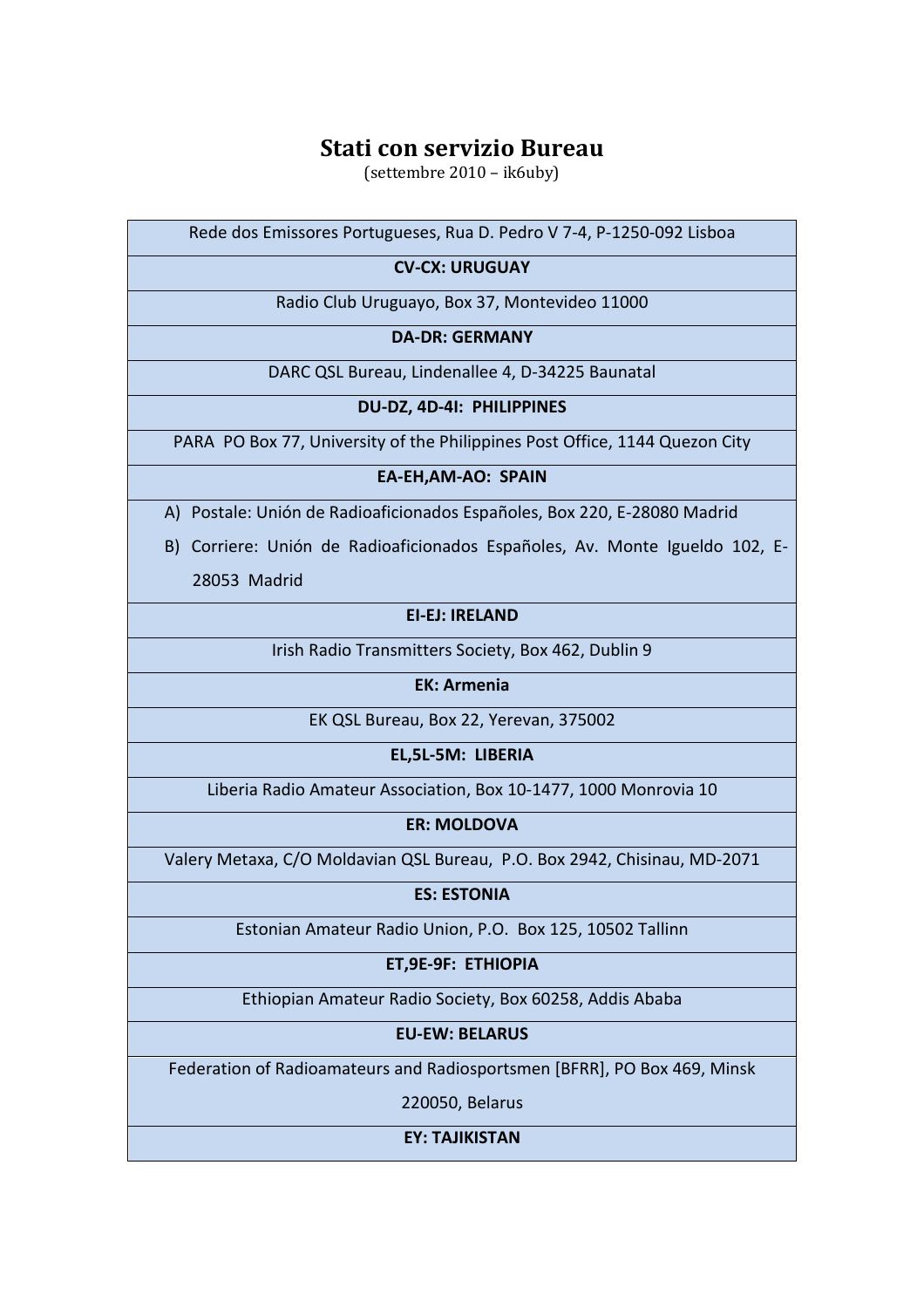(settembre 2010 – ik6uby)

Rede dos Emissores Portugueses, Rua D. Pedro V 7-4, P-1250-092 Lisboa

## **CV-CX: URUGUAY**

Radio Club Uruguayo, Box 37, Montevideo 11000

## **DA-DR: GERMANY**

DARC QSL Bureau, Lindenallee 4, D-34225 Baunatal

#### **DU-DZ, 4D-4I: PHILIPPINES**

PARA PO Box 77, University of the Philippines Post Office, 1144 Quezon City

## **EA-EH,AM-AO: SPAIN**

- A) Postale: Unión de Radioaficionados Españoles, Box 220, E-28080 Madrid
- B) Corriere: Unión de Radioaficionados Españoles, Av. Monte Igueldo 102, E-28053 Madrid

#### **EI-EJ: IRELAND**

Irish Radio Transmitters Society, Box 462, Dublin 9

#### **EK: Armenia**

EK QSL Bureau, Box 22, Yerevan, 375002

**EL,5L-5M: LIBERIA** 

Liberia Radio Amateur Association, Box 10-1477, 1000 Monrovia 10

#### **ER: MOLDOVA**

Valery Metaxa, C/O Moldavian QSL Bureau, P.O. Box 2942, Chisinau, MD-2071

**ES: ESTONIA** 

Estonian Amateur Radio Union, P.O. Box 125, 10502 Tallinn

## **ET,9E-9F: ETHIOPIA**

Ethiopian Amateur Radio Society, Box 60258, Addis Ababa

## **EU-EW: BELARUS**

Federation of Radioamateurs and Radiosportsmen [BFRR], PO Box 469, Minsk

220050, Belarus

#### **EY: TAJIKISTAN**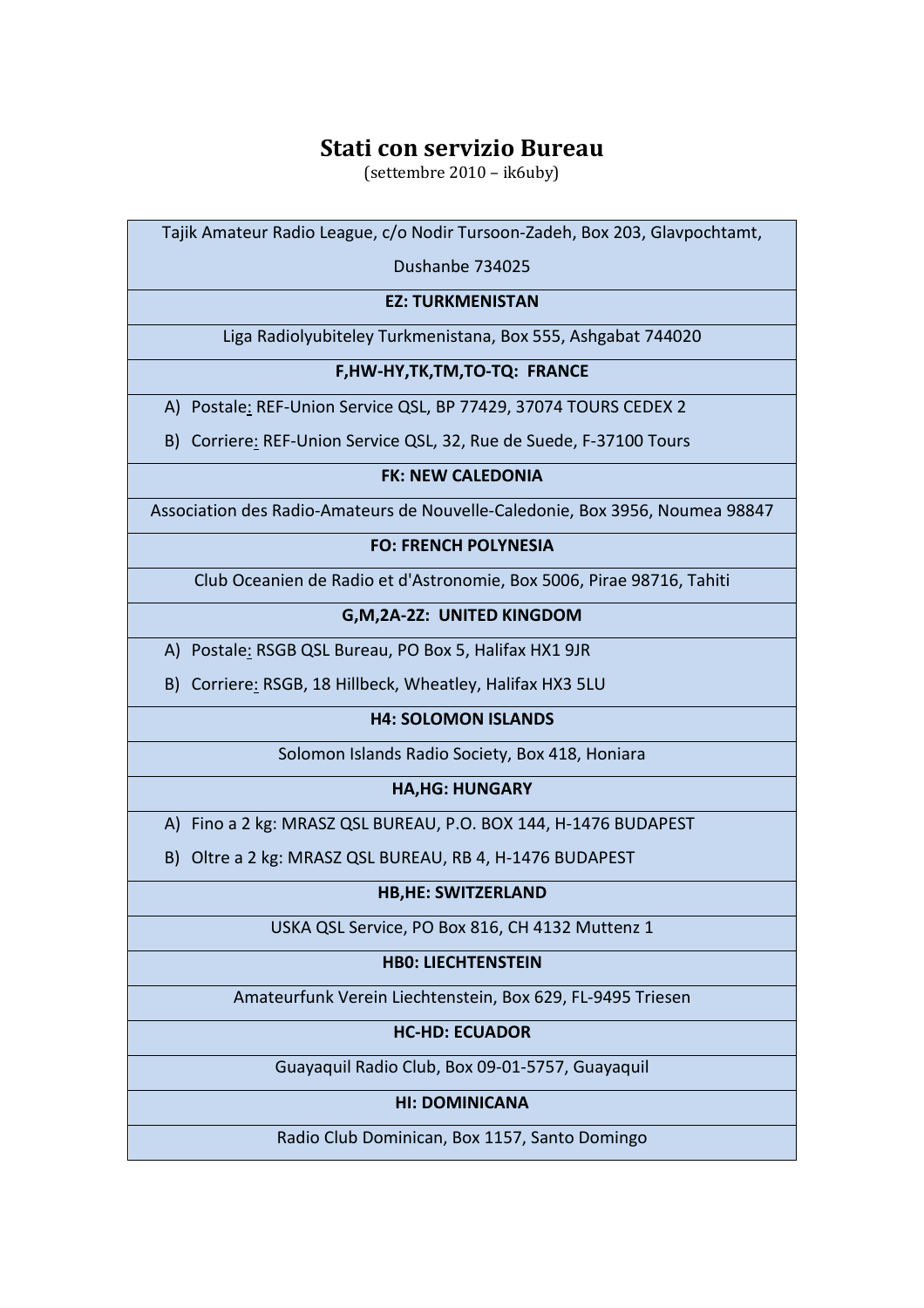(settembre 2010 – ik6uby)

Tajik Amateur Radio League, c/o Nodir Tursoon-Zadeh, Box 203, Glavpochtamt,

Dushanbe 734025

#### **EZ: TURKMENISTAN**

Liga Radiolyubiteley Turkmenistana, Box 555, Ashgabat 744020

#### **F,HW-HY,TK,TM,TO-TQ: FRANCE**

A) Postale: REF-Union Service QSL, BP 77429, 37074 TOURS CEDEX 2

B) Corriere: REF-Union Service QSL, 32, Rue de Suede, F-37100 Tours

## **FK: NEW CALEDONIA**

Association des Radio-Amateurs de Nouvelle-Caledonie, Box 3956, Noumea 98847

## **FO: FRENCH POLYNESIA**

Club Oceanien de Radio et d'Astronomie, Box 5006, Pirae 98716, Tahiti

## **G,M,2A-2Z: UNITED KINGDOM**

A) Postale: RSGB QSL Bureau, PO Box 5, Halifax HX1 9JR

B) Corriere: RSGB, 18 Hillbeck, Wheatley, Halifax HX3 5LU

## **H4: SOLOMON ISLANDS**

Solomon Islands Radio Society, Box 418, Honiara

## **HA,HG: HUNGARY**

A) Fino a 2 kg: MRASZ QSL BUREAU, P.O. BOX 144, H-1476 BUDAPEST

B) Oltre a 2 kg: MRASZ QSL BUREAU, RB 4, H-1476 BUDAPEST

## **HB,HE: SWITZERLAND**

USKA QSL Service, PO Box 816, CH 4132 Muttenz 1

## **HB0: LIECHTENSTEIN**

Amateurfunk Verein Liechtenstein, Box 629, FL-9495 Triesen

## **HC-HD: ECUADOR**

Guayaquil Radio Club, Box 09-01-5757, Guayaquil

## **HI: DOMINICANA**

Radio Club Dominican, Box 1157, Santo Domingo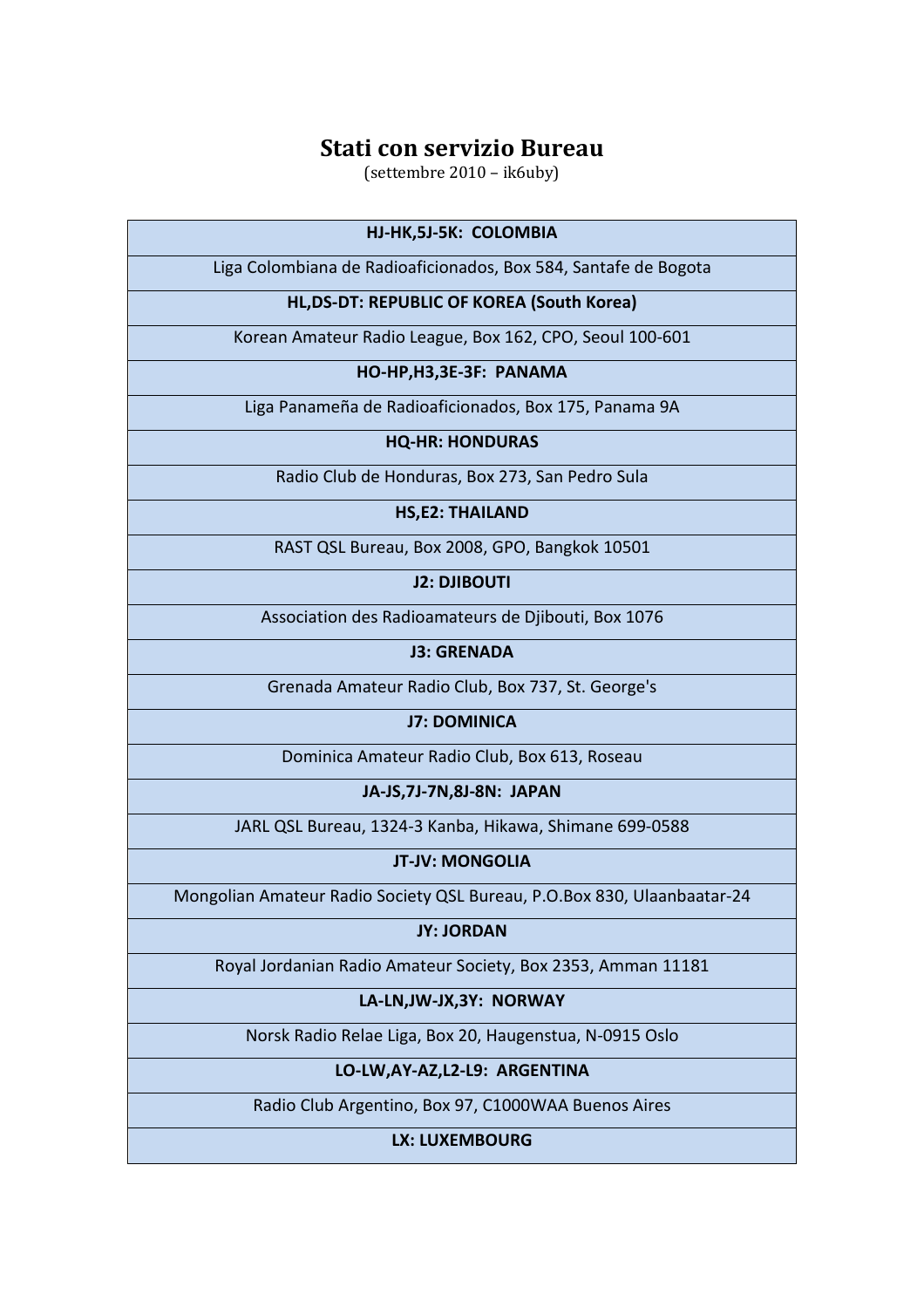(settembre 2010 – ik6uby)

## **HJ-HK,5J-5K: COLOMBIA**

Liga Colombiana de Radioaficionados, Box 584, Santafe de Bogota

## **HL,DS-DT: REPUBLIC OF KOREA (South Korea)**

Korean Amateur Radio League, Box 162, CPO, Seoul 100-601

#### **HO-HP,H3,3E-3F: PANAMA**

Liga Panameña de Radioaficionados, Box 175, Panama 9A

## **HQ-HR: HONDURAS**

Radio Club de Honduras, Box 273, San Pedro Sula

#### **HS,E2: THAILAND**

RAST QSL Bureau, Box 2008, GPO, Bangkok 10501

**J2: DJIBOUTI** 

Association des Radioamateurs de Djibouti, Box 1076

**J3: GRENADA** 

Grenada Amateur Radio Club, Box 737, St. George's

**J7: DOMINICA** 

Dominica Amateur Radio Club, Box 613, Roseau

**JA-JS,7J-7N,8J-8N: JAPAN** 

JARL QSL Bureau, 1324-3 Kanba, Hikawa, Shimane 699-0588

**JT-JV: MONGOLIA** 

Mongolian Amateur Radio Society QSL Bureau, P.O.Box 830, Ulaanbaatar-24

**JY: JORDAN** 

Royal Jordanian Radio Amateur Society, Box 2353, Amman 11181

**LA-LN,JW-JX,3Y: NORWAY** 

Norsk Radio Relae Liga, Box 20, Haugenstua, N-0915 Oslo

## **LO-LW,AY-AZ,L2-L9: ARGENTINA**

Radio Club Argentino, Box 97, C1000WAA Buenos Aires

**LX: LUXEMBOURG**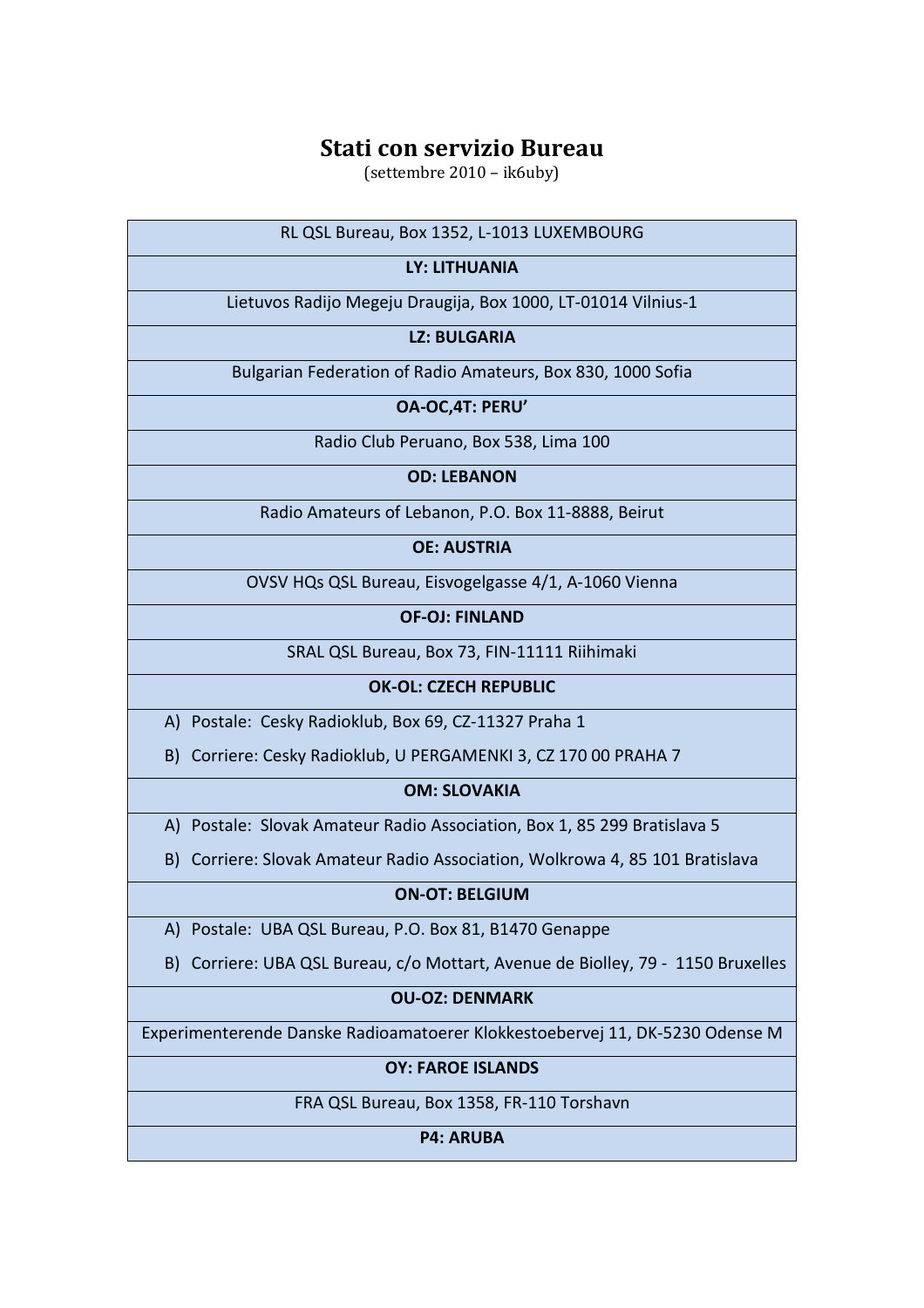(settembre 2010 – ik6uby)

| RL QSL Bureau, Box 1352, L-1013 LUXEMBOURG |  |
|--------------------------------------------|--|
|--------------------------------------------|--|

## **LY: LITHUANIA**

Lietuvos Radijo Megeju Draugija, Box 1000, LT-01014 Vilnius-1

## **LZ: BULGARIA**

Bulgarian Federation of Radio Amateurs, Box 830, 1000 Sofia

**OA-OC,4T: PERU'** 

Radio Club Peruano, Box 538, Lima 100

#### **OD: LEBANON**

Radio Amateurs of Lebanon, P.O. Box 11-8888, Beirut

## **OE: AUSTRIA**

OVSV HQs QSL Bureau, Eisvogelgasse 4/1, A-1060 Vienna

**OF-OJ: FINLAND** 

SRAL QSL Bureau, Box 73, FIN-11111 Riihimaki

## **OK-OL: CZECH REPUBLIC**

A) Postale: Cesky Radioklub, Box 69, CZ-11327 Praha 1

B) Corriere: Cesky Radioklub, U PERGAMENKI 3, CZ 170 00 PRAHA 7

## **OM: SLOVAKIA**

A) Postale: Slovak Amateur Radio Association, Box 1, 85 299 Bratislava 5

B) Corriere: Slovak Amateur Radio Association, Wolkrowa 4, 85 101 Bratislava

## **ON-OT: BELGIUM**

A) Postale: UBA QSL Bureau, P.O. Box 81, B1470 Genappe

B) Corriere: UBA QSL Bureau, c/o Mottart, Avenue de Biolley, 79 - 1150 Bruxelles

## **OU-OZ: DENMARK**

Experimenterende Danske Radioamatoerer Klokkestoebervej 11, DK-5230 Odense M

## **OY: FAROE ISLANDS**

FRA QSL Bureau, Box 1358, FR-110 Torshavn

**P4: ARUBA**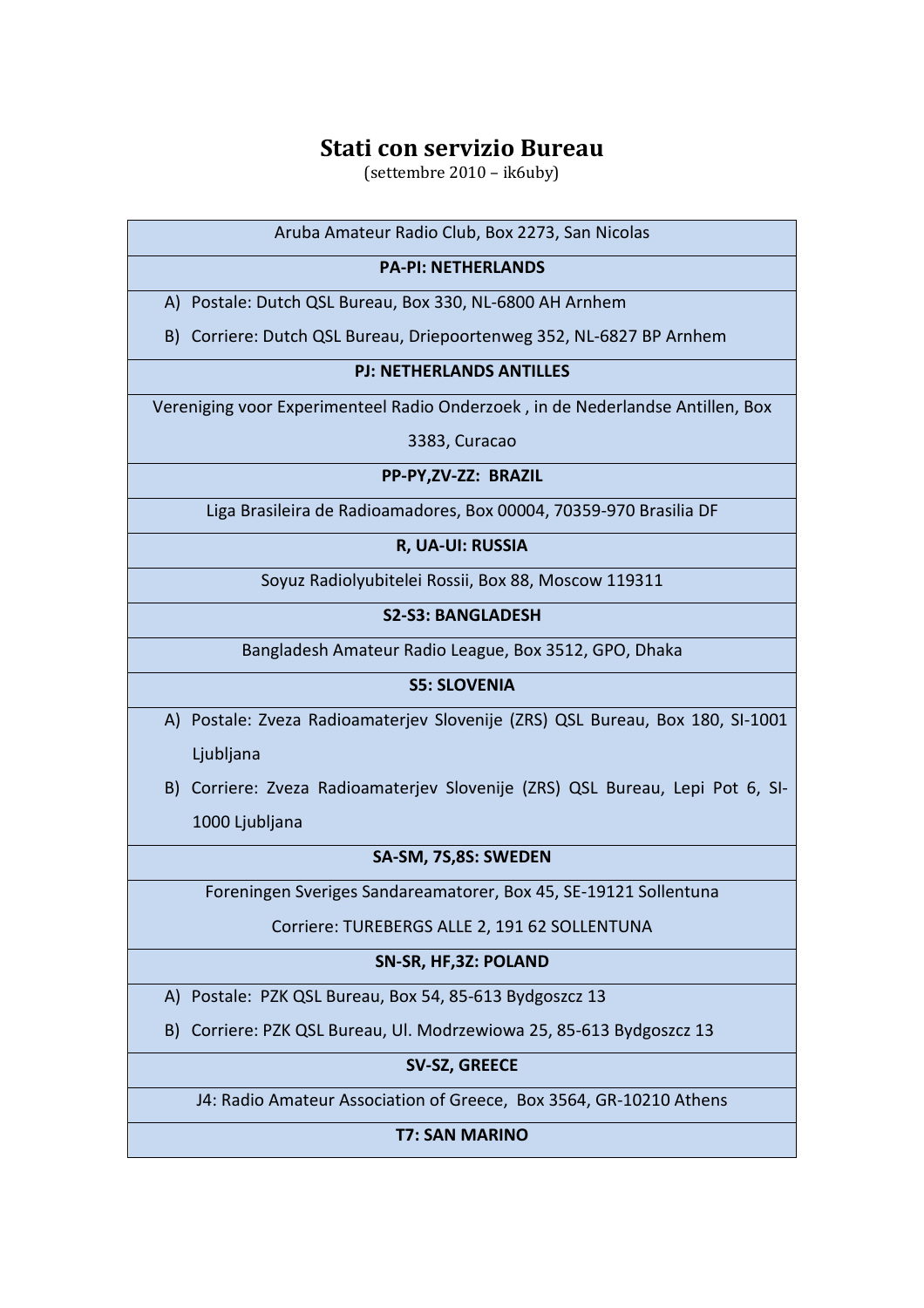(settembre 2010 – ik6uby)

Aruba Amateur Radio Club, Box 2273, San Nicolas

## **PA-PI: NETHERLANDS**

A) Postale: Dutch QSL Bureau, Box 330, NL-6800 AH Arnhem

B) Corriere: Dutch QSL Bureau, Driepoortenweg 352, NL-6827 BP Arnhem

## **PJ: NETHERLANDS ANTILLES**

Vereniging voor Experimenteel Radio Onderzoek , in de Nederlandse Antillen, Box

3383, Curacao

**PP-PY,ZV-ZZ: BRAZIL** 

Liga Brasileira de Radioamadores, Box 00004, 70359-970 Brasilia DF

**R, UA-UI: RUSSIA** 

Soyuz Radiolyubitelei Rossii, Box 88, Moscow 119311

**S2-S3: BANGLADESH** 

Bangladesh Amateur Radio League, Box 3512, GPO, Dhaka

## **S5: SLOVENIA**

A) Postale: Zveza Radioamaterjev Slovenije (ZRS) QSL Bureau, Box 180, SI-1001 Ljubljana

B) Corriere: Zveza Radioamaterjev Slovenije (ZRS) QSL Bureau, Lepi Pot 6, SI-1000 Ljubljana

## **SA-SM, 7S,8S: SWEDEN**

Foreningen Sveriges Sandareamatorer, Box 45, SE-19121 Sollentuna

Corriere: TUREBERGS ALLE 2, 191 62 SOLLENTUNA

## **SN-SR, HF,3Z: POLAND**

A) Postale: PZK QSL Bureau, Box 54, 85-613 Bydgoszcz 13

B) Corriere: PZK QSL Bureau, Ul. Modrzewiowa 25, 85-613 Bydgoszcz 13

## **SV-SZ, GREECE**

J4: Radio Amateur Association of Greece, Box 3564, GR-10210 Athens

**T7: SAN MARINO**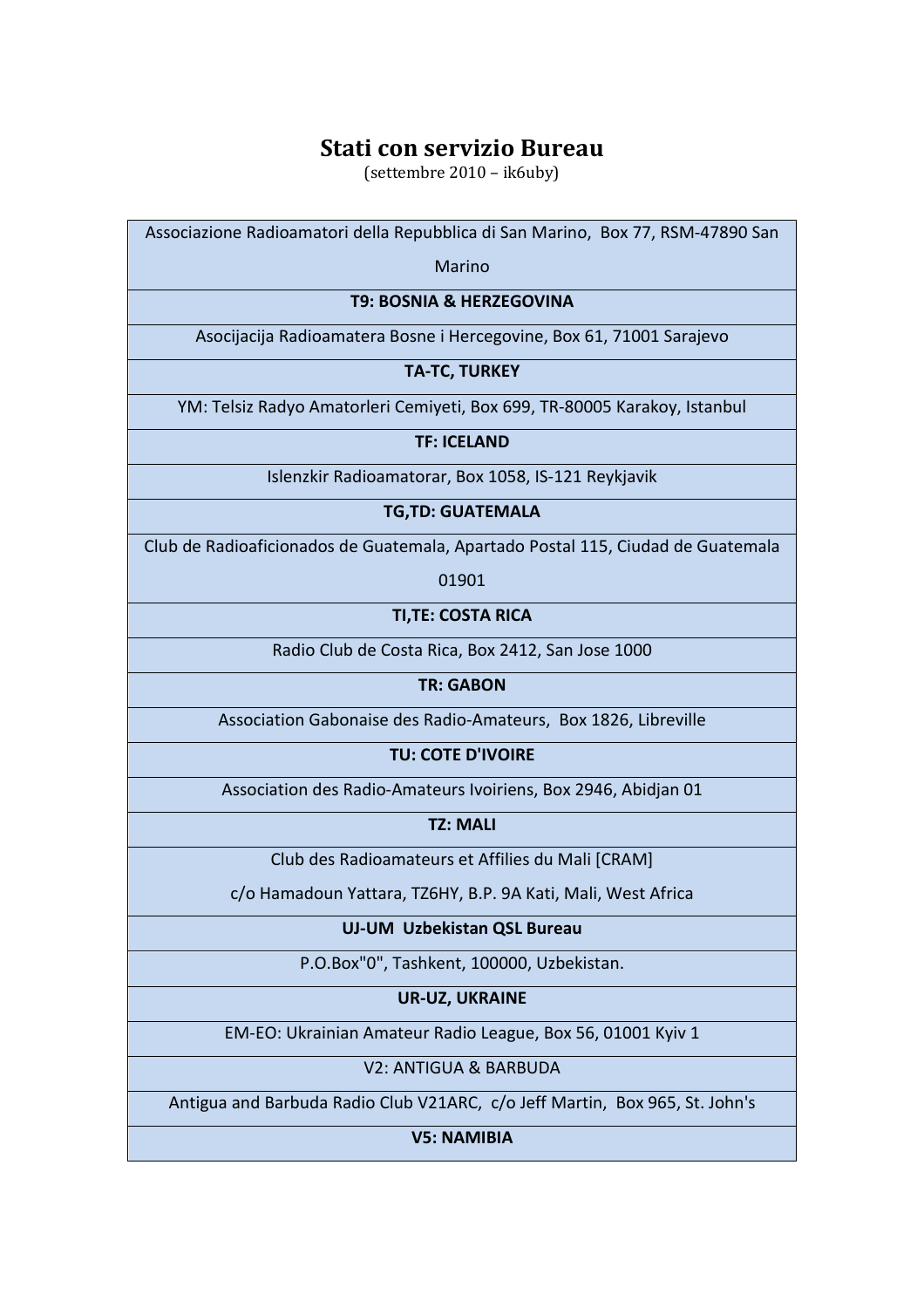(settembre 2010 – ik6uby)

Associazione Radioamatori della Repubblica di San Marino, Box 77, RSM-47890 San Marino **T9: BOSNIA & HERZEGOVINA**  Asocijacija Radioamatera Bosne i Hercegovine, Box 61, 71001 Sarajevo **TA-TC, TURKEY**  YM: Telsiz Radyo Amatorleri Cemiyeti, Box 699, TR-80005 Karakoy, Istanbul **TF: ICELAND**  Islenzkir Radioamatorar, Box 1058, IS-121 Reykjavik **TG,TD: GUATEMALA**  Club de Radioaficionados de Guatemala, Apartado Postal 115, Ciudad de Guatemala 01901 **TI,TE: COSTA RICA**  Radio Club de Costa Rica, Box 2412, San Jose 1000 **TR: GABON**  Association Gabonaise des Radio-Amateurs, Box 1826, Libreville **TU: COTE D'IVOIRE**  Association des Radio-Amateurs Ivoiriens, Box 2946, Abidjan 01 **TZ: MALI**  Club des Radioamateurs et Affilies du Mali [CRAM] c/o Hamadoun Yattara, TZ6HY, B.P. 9A Kati, Mali, West Africa **UJ-UM Uzbekistan QSL Bureau**  P.O.Box"0", Tashkent, 100000, Uzbekistan. **UR-UZ, UKRAINE**  EM-EO: Ukrainian Amateur Radio League, Box 56, 01001 Kyiv 1 V2: ANTIGUA & BARBUDA Antigua and Barbuda Radio Club V21ARC, c/o Jeff Martin, Box 965, St. John's **V5: NAMIBIA**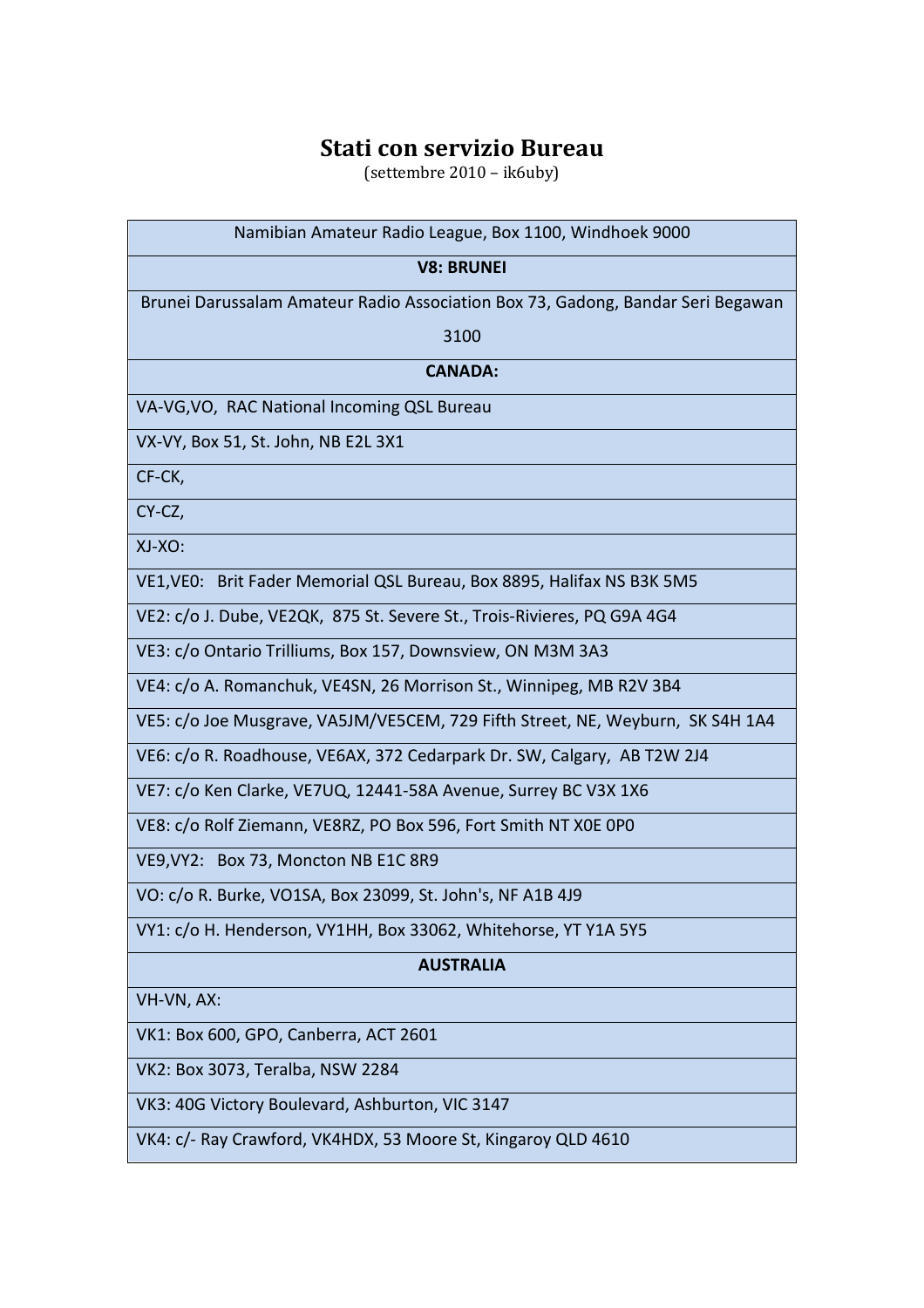(settembre 2010 – ik6uby)

| Namibian Amateur Radio League, Box 1100, Windhoek 9000                          |
|---------------------------------------------------------------------------------|
| <b>V8: BRUNEI</b>                                                               |
| Brunei Darussalam Amateur Radio Association Box 73, Gadong, Bandar Seri Begawan |
| 3100                                                                            |
| <b>CANADA:</b>                                                                  |
| VA-VG, VO, RAC National Incoming QSL Bureau                                     |
| VX-VY, Box 51, St. John, NB E2L 3X1                                             |
| CF-CK,                                                                          |
| CY-CZ,                                                                          |
| XJ-XO:                                                                          |
| VE1, VE0: Brit Fader Memorial QSL Bureau, Box 8895, Halifax NS B3K 5M5          |
| VE2: c/o J. Dube, VE2QK, 875 St. Severe St., Trois-Rivieres, PQ G9A 4G4         |
| VE3: c/o Ontario Trilliums, Box 157, Downsview, ON M3M 3A3                      |
| VE4: c/o A. Romanchuk, VE4SN, 26 Morrison St., Winnipeg, MB R2V 3B4             |
| VE5: c/o Joe Musgrave, VA5JM/VE5CEM, 729 Fifth Street, NE, Weyburn, SK S4H 1A4  |
| VE6: c/o R. Roadhouse, VE6AX, 372 Cedarpark Dr. SW, Calgary, AB T2W 2J4         |
| VE7: c/o Ken Clarke, VE7UQ, 12441-58A Avenue, Surrey BC V3X 1X6                 |
| VE8: c/o Rolf Ziemann, VE8RZ, PO Box 596, Fort Smith NT XOE OPO                 |
| VE9, VY2: Box 73, Moncton NB E1C 8R9                                            |
| VO: c/o R. Burke, VO1SA, Box 23099, St. John's, NF A1B 4J9                      |
| VY1: c/o H. Henderson, VY1HH, Box 33062, Whitehorse, YT Y1A 5Y5                 |
| <b>AUSTRALIA</b>                                                                |
| VH-VN, AX:                                                                      |
| VK1: Box 600, GPO, Canberra, ACT 2601                                           |
| VK2: Box 3073, Teralba, NSW 2284                                                |
| VK3: 40G Victory Boulevard, Ashburton, VIC 3147                                 |
| VK4: c/- Ray Crawford, VK4HDX, 53 Moore St, Kingaroy QLD 4610                   |
|                                                                                 |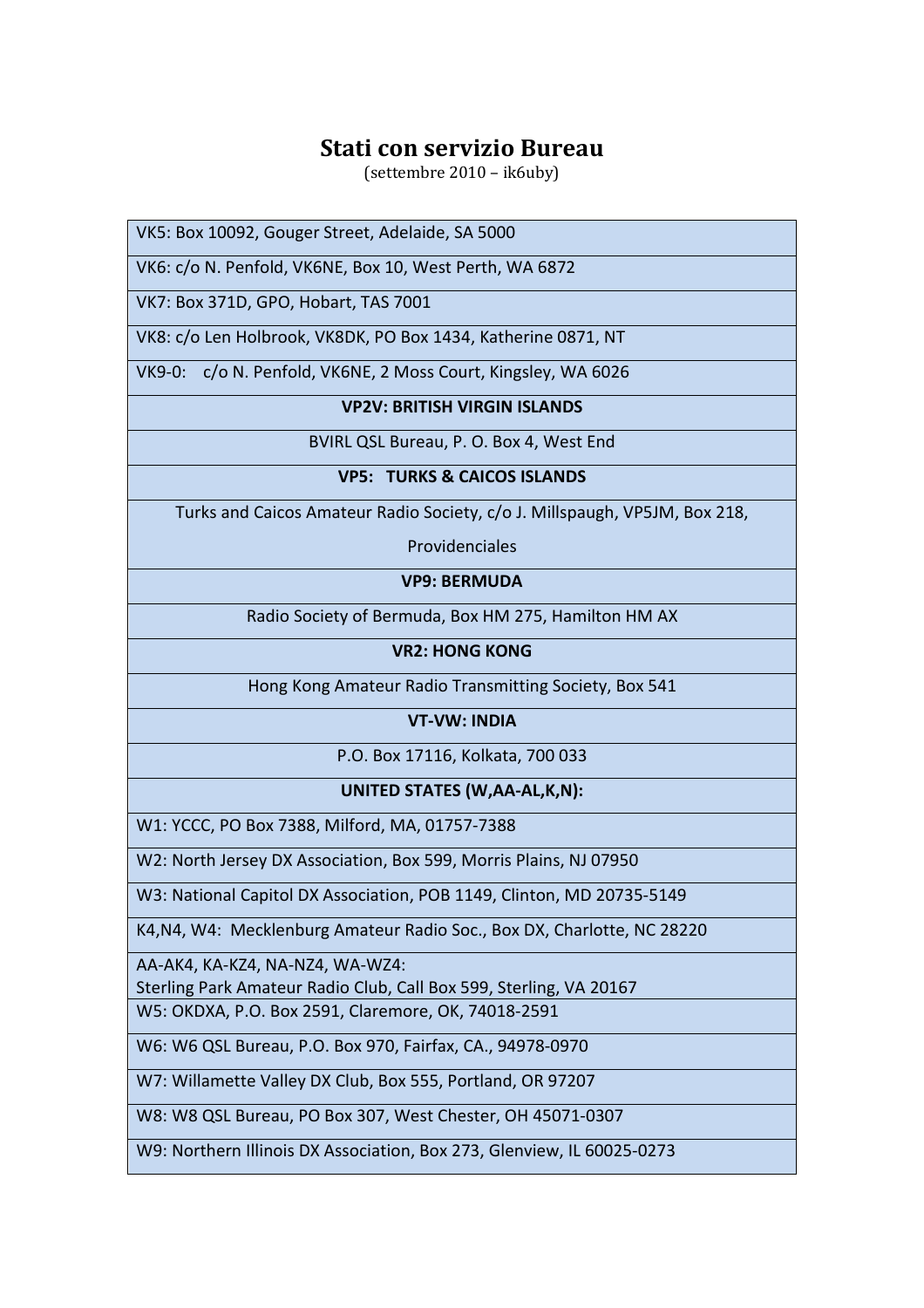(settembre 2010 – ik6uby)

VK5: Box 10092, Gouger Street, Adelaide, SA 5000

VK6: c/o N. Penfold, VK6NE, Box 10, West Perth, WA 6872

VK7: Box 371D, GPO, Hobart, TAS 7001

VK8: c/o Len Holbrook, VK8DK, PO Box 1434, Katherine 0871, NT

VK9-0: c/o N. Penfold, VK6NE, 2 Moss Court, Kingsley, WA 6026

## **VP2V: BRITISH VIRGIN ISLANDS**

BVIRL QSL Bureau, P. O. Box 4, West End

## **VP5: TURKS & CAICOS ISLANDS**

Turks and Caicos Amateur Radio Society, c/o J. Millspaugh, VP5JM, Box 218,

Providenciales

**VP9: BERMUDA** 

Radio Society of Bermuda, Box HM 275, Hamilton HM AX

**VR2: HONG KONG** 

Hong Kong Amateur Radio Transmitting Society, Box 541

**VT-VW: INDIA** 

P.O. Box 17116, Kolkata, 700 033

**UNITED STATES (W,AA-AL,K,N):** 

W1: YCCC, PO Box 7388, Milford, MA, 01757-7388

W2: North Jersey DX Association, Box 599, Morris Plains, NJ 07950

W3: National Capitol DX Association, POB 1149, Clinton, MD 20735-5149

K4,N4, W4: Mecklenburg Amateur Radio Soc., Box DX, Charlotte, NC 28220

AA-AK4, KA-KZ4, NA-NZ4, WA-WZ4:

Sterling Park Amateur Radio Club, Call Box 599, Sterling, VA 20167 W5: OKDXA, P.O. Box 2591, Claremore, OK, 74018-2591

W6: W6 QSL Bureau, P.O. Box 970, Fairfax, CA., 94978-0970

W7: Willamette Valley DX Club, Box 555, Portland, OR 97207

W8: W8 QSL Bureau, PO Box 307, West Chester, OH 45071-0307

W9: Northern Illinois DX Association, Box 273, Glenview, IL 60025-0273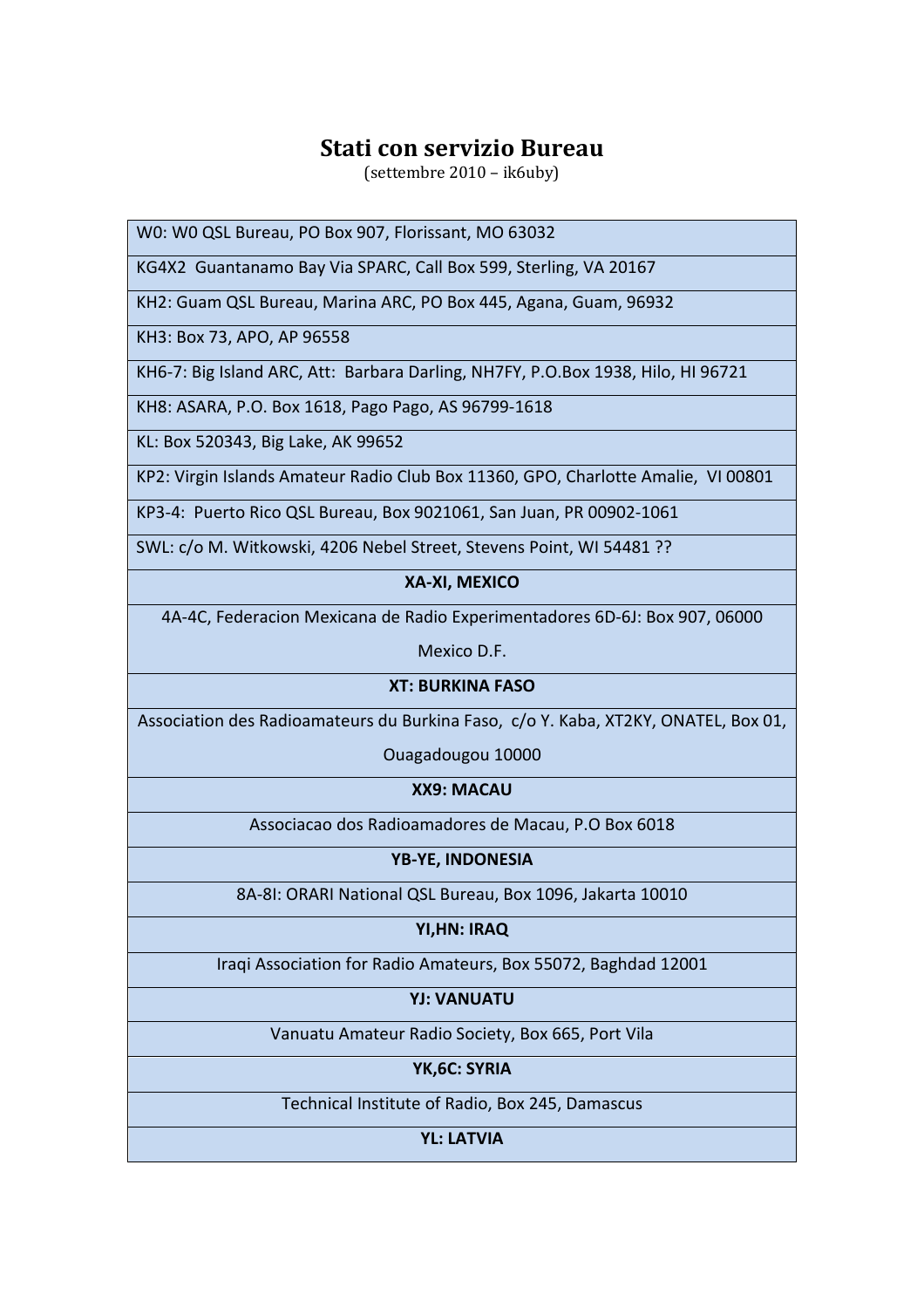(settembre 2010 – ik6uby)

W0: W0 QSL Bureau, PO Box 907, Florissant, MO 63032

KG4X2 Guantanamo Bay Via SPARC, Call Box 599, Sterling, VA 20167

KH2: Guam QSL Bureau, Marina ARC, PO Box 445, Agana, Guam, 96932

KH3: Box 73, APO, AP 96558

KH6-7: Big Island ARC, Att: Barbara Darling, NH7FY, P.O.Box 1938, Hilo, HI 96721

KH8: ASARA, P.O. Box 1618, Pago Pago, AS 96799-1618

KL: Box 520343, Big Lake, AK 99652

KP2: Virgin Islands Amateur Radio Club Box 11360, GPO, Charlotte Amalie, VI 00801

KP3-4: Puerto Rico QSL Bureau, Box 9021061, San Juan, PR 00902-1061

SWL: c/o M. Witkowski, 4206 Nebel Street, Stevens Point, WI 54481 ??

## **XA-XI, MEXICO**

4A-4C, Federacion Mexicana de Radio Experimentadores 6D-6J: Box 907, 06000

Mexico D.F.

## **XT: BURKINA FASO**

Association des Radioamateurs du Burkina Faso, c/o Y. Kaba, XT2KY, ONATEL, Box 01,

Ouagadougou 10000

**XX9: MACAU** 

Associacao dos Radioamadores de Macau, P.O Box 6018

**YB-YE, INDONESIA** 

8A-8I: ORARI National QSL Bureau, Box 1096, Jakarta 10010

## **YI,HN: IRAQ**

Iraqi Association for Radio Amateurs, Box 55072, Baghdad 12001

**YJ: VANUATU** 

Vanuatu Amateur Radio Society, Box 665, Port Vila

**YK,6C: SYRIA** 

Technical Institute of Radio, Box 245, Damascus

**YL: LATVIA**